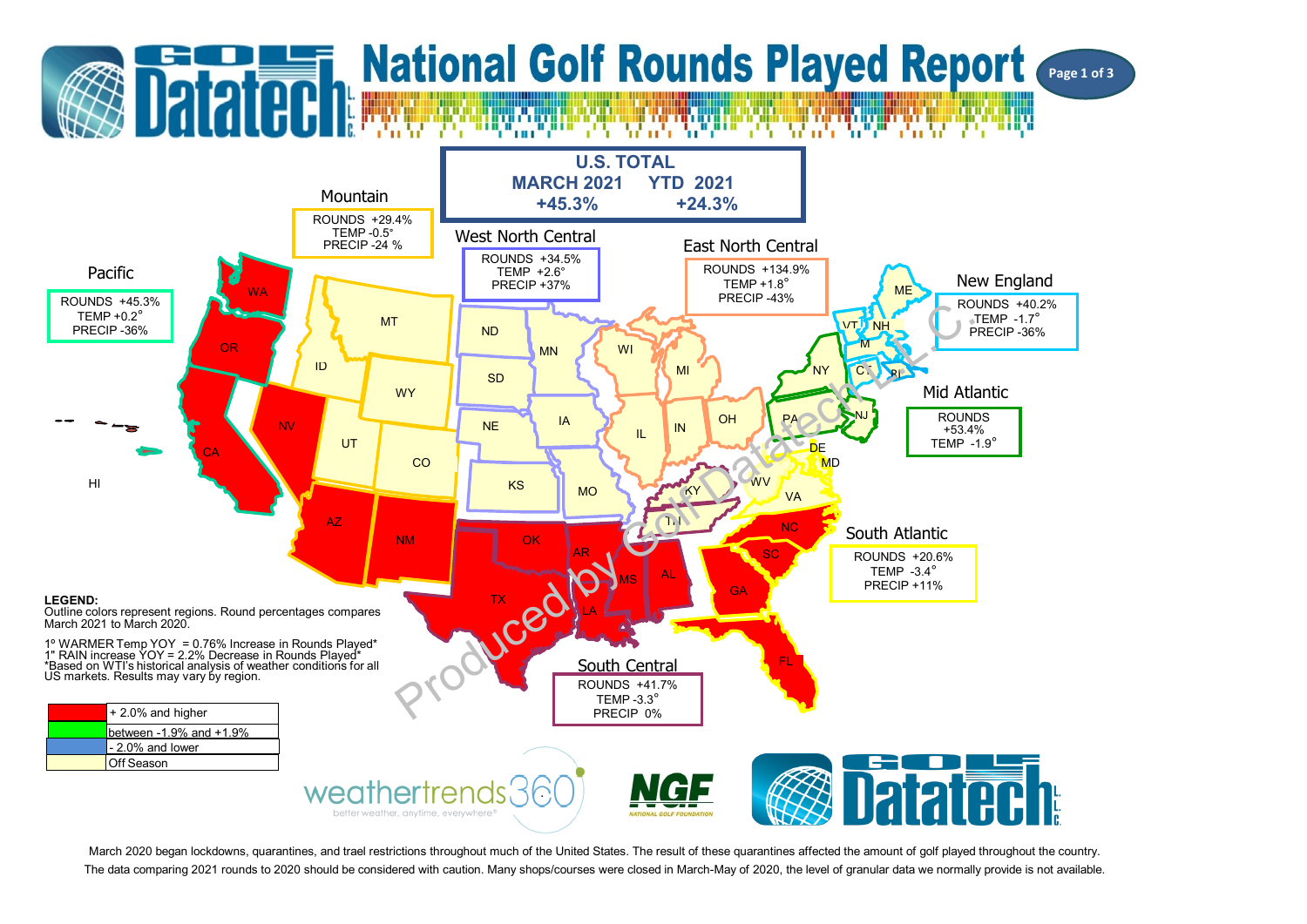

March 2020 began lockdowns, quarantines, and trael restrictions throughout much of the United States. The result of these quarantines affected the amount of golf played throughout the country. The data comparing 2021 rounds to 2020 should be considered with caution. Many shops/courses were closed in March-May of 2020, the level of granular data we normally provide is not available.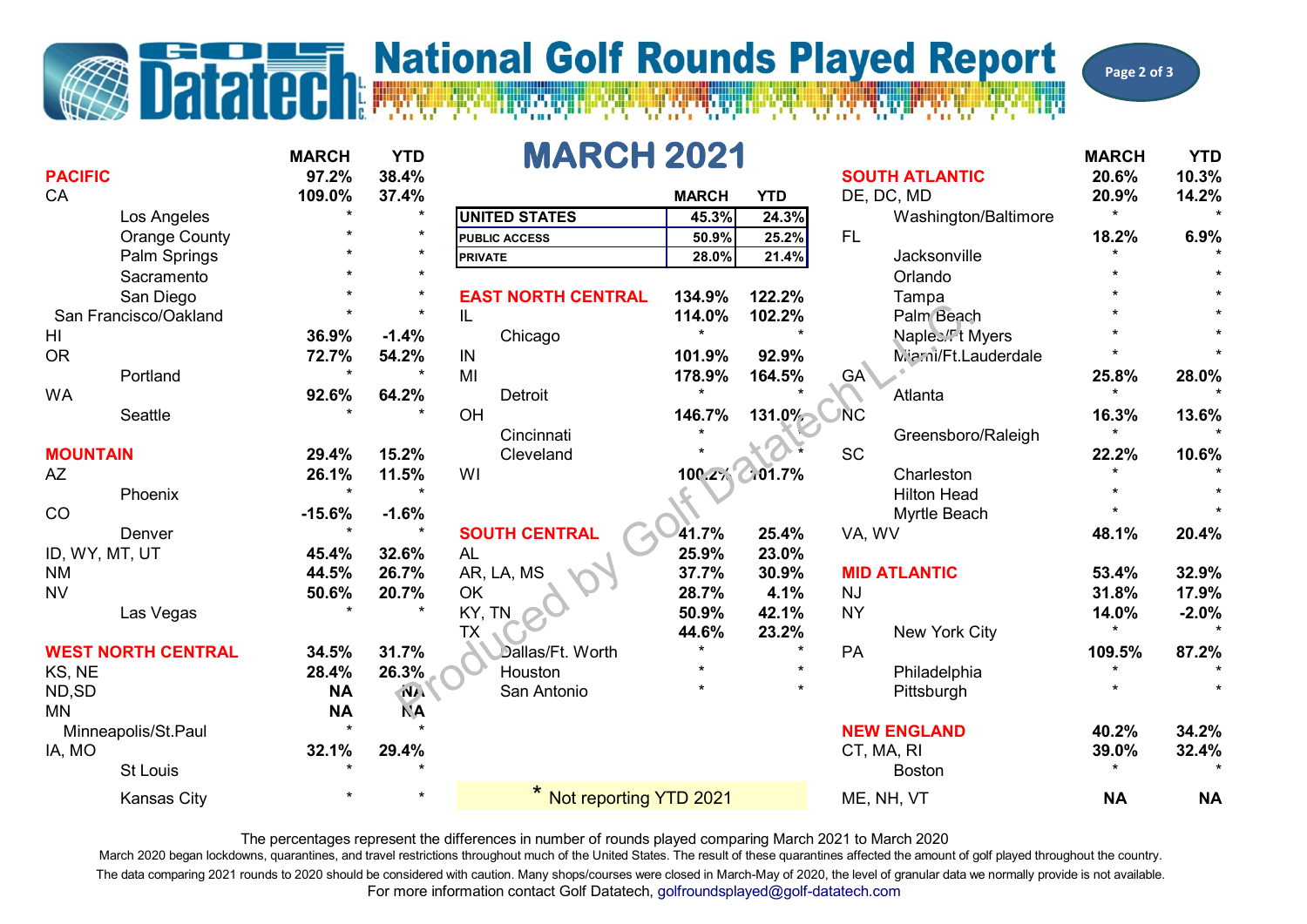## **The Datated Report** National Golf Rounds Played Report

**Page 2 of 3**

| <b>PACIFIC</b>  |                           | <b>MARCH</b><br>97.2% | <b>YTD</b><br>38.4%     | <b>MARCH 2021</b>         |              |                | <b>SOUTH ATLANTIC</b>        | <b>MARCH</b><br>20.6% | <b>YTD</b><br>10.3% |
|-----------------|---------------------------|-----------------------|-------------------------|---------------------------|--------------|----------------|------------------------------|-----------------------|---------------------|
| CA              |                           | 109.0%<br>$\star$     | 37.4%<br>$\star$        |                           | <b>MARCH</b> | <b>YTD</b>     | DE, DC, MD                   | 20.9%<br>$\star$      | 14.2%               |
|                 | Los Angeles               |                       | $\star$                 | <b>UNITED STATES</b>      | 45.3%        | 24.3%          | Washington/Baltimore         |                       |                     |
|                 | <b>Orange County</b>      |                       |                         | <b>PUBLIC ACCESS</b>      | 50.9%        | 25.2%          | FL.                          | 18.2%                 | 6.9%                |
|                 | Palm Springs              |                       |                         | <b>PRIVATE</b>            | 28.0%        | 21.4%          | Jacksonville                 |                       |                     |
|                 | Sacramento                |                       | $\star$                 |                           |              |                | Orlando                      |                       |                     |
|                 | San Diego                 |                       | $\star$                 | <b>EAST NORTH CENTRAL</b> | 134.9%       | 122.2%         | Tampa                        |                       |                     |
|                 | San Francisco/Oakland     | $\star$               | $\ddot{\phantom{1}}$    | IL                        | 114.0%       | 102.2%         | Palm Beach                   |                       |                     |
| HI              |                           | 36.9%                 | $-1.4%$                 | Chicago                   | $\star$      |                | Naples. <sup>'</sup> I Myers |                       |                     |
| <b>OR</b>       |                           | 72.7%                 | 54.2%                   | IN                        | 101.9%       | 92.9%          | Mierni/Ft.Lauderdale         |                       |                     |
|                 | Portland                  |                       | $\star$                 | MI                        | 178.9%       | 164.5%         | GA <sup>\</sup>              | 25.8%                 | 28.0%               |
| <b>WA</b>       |                           | 92.6%                 | 64.2%                   | <b>Detroit</b>            | $\star$      |                | Atlanta                      | $\star$               |                     |
|                 | <b>Seattle</b>            |                       |                         | OH                        | 146.7%       | 131.0%         | <b>NC</b>                    | 16.3%                 | 13.6%               |
|                 |                           |                       |                         | Cincinnati                |              |                | Greensboro/Raleigh           | $\star$               |                     |
| <b>MOUNTAIN</b> |                           | 29.4%                 | 15.2%                   | Cleveland                 |              |                | <b>SC</b>                    | 22.2%                 | 10.6%               |
| <b>AZ</b>       |                           | 26.1%                 | 11.5%                   | WI                        |              | 100.2% 0.01.7% | Charleston                   |                       |                     |
|                 | Phoenix                   | ÷                     |                         |                           |              |                | <b>Hilton Head</b>           |                       |                     |
| CO              |                           | $-15.6%$              | $-1.6%$                 |                           |              |                | Myrtle Beach                 |                       |                     |
|                 | Denver                    |                       | $\star$                 | <b>SOUTH CENTRAL</b>      | 41.7%        | 25.4%          | VA, WV                       | 48.1%                 | 20.4%               |
| ID, WY, MT, UT  |                           | 45.4%                 | 32.6%                   | <b>AL</b>                 | 25.9%        | 23.0%          |                              |                       |                     |
| <b>NM</b>       |                           | 44.5%                 | 26.7%                   | AR, LA, MS                | 37.7%        | 30.9%          | <b>MID ATLANTIC</b>          | 53.4%                 | 32.9%               |
| <b>NV</b>       |                           | 50.6%                 | 20.7%                   | OK                        | 28.7%        | 4.1%           | <b>NJ</b>                    | 31.8%                 | 17.9%               |
|                 | Las Vegas                 |                       |                         | KY, TN                    | 50.9%        | 42.1%          | <b>NY</b>                    | 14.0%                 | $-2.0%$             |
|                 |                           |                       |                         | <b>TX</b>                 | 44.6%        | 23.2%          | New York City                | $\star$               |                     |
|                 | <b>WEST NORTH CENTRAL</b> | 34.5%                 | 31.7%                   | Dallas/Ft. Worth          | $\star$      |                | PA                           | 109.5%                | 87.2%               |
| KS, NE          |                           | 28.4%                 | 26.3%                   | Houston                   | $\star$      |                | Philadelphia                 |                       |                     |
| ND,SD           |                           | <b>NA</b>             | $\overline{\mathbf{M}}$ | San Antonio               | ÷            |                | Pittsburgh                   |                       |                     |
| <b>MN</b>       |                           | <b>NA</b>             | <b>NA</b>               |                           |              |                |                              |                       |                     |
|                 | Minneapolis/St.Paul       | $\ddot{\bullet}$      |                         |                           |              |                | <b>NEW ENGLAND</b>           | 40.2%                 | 34.2%               |
| IA, MO          |                           | 32.1%                 | 29.4%                   |                           |              |                | CT, MA, RI                   | 39.0%                 | 32.4%               |
|                 | <b>St Louis</b>           |                       |                         |                           |              |                | <b>Boston</b>                | $\star$               |                     |
|                 |                           |                       |                         |                           |              |                |                              |                       |                     |
|                 | Kansas City               |                       |                         | * Not reporting YTD 2021  |              |                | ME, NH, VT                   | <b>NA</b>             | <b>NA</b>           |

The percentages represent the differences in number of rounds played comparing March 2021 to March 2020

For more information contact Golf Datatech, golfroundsplayed@golf-datatech.com March 2020 began lockdowns, quarantines, and travel restrictions throughout much of the United States. The result of these quarantines affected the amount of golf played throughout the country. The data comparing 2021 rounds to 2020 should be considered with caution. Many shops/courses were closed in March-May of 2020, the level of granular data we normally provide is not available.